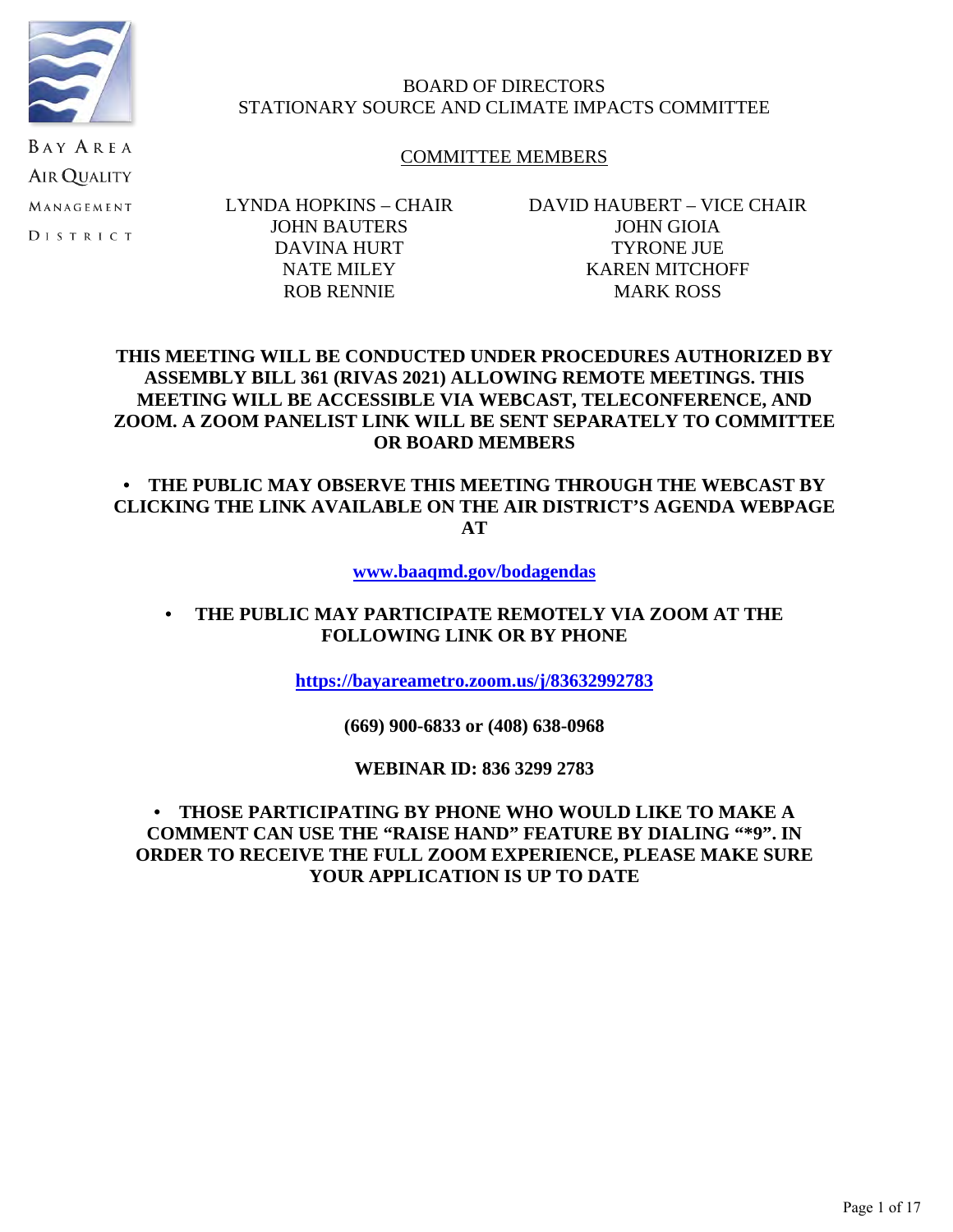

**AIR QUALITY** MANAGEMENT **DISTRICT** 

# BOARD OF DIRECTORS STATIONARY SOURCE AND CLIMATE IMPACTS COMMITTEE

# COMMITTEE MEMBERS

LYNDA HOPKINS – CHAIR JOHN BAUTERS DAVINA HURT NATE MILEY ROB RENNIE

DAVID HAUBERT – VICE CHAIR JOHN GIOIA TYRONE JUE KAREN MITCHOFF MARK ROSS

# **THIS MEETING WILL BE CONDUCTED UNDER PROCEDURES AUTHORIZED BY ASSEMBLY BILL 361 (RIVAS 2021) ALLOWING REMOTE MEETINGS. THIS MEETING WILL BE ACCESSIBLE VIA WEBCAST, TELECONFERENCE, AND ZOOM. A ZOOM PANELIST LINK WILL BE SENT SEPARATELY TO COMMITTEE OR BOARD MEMBERS**

**• THE PUBLIC MAY OBSERVE THIS MEETING THROUGH THE WEBCAST BY CLICKING THE LINK AVAILABLE ON THE AIR DISTRICT'S AGENDA WEBPAGE AT**

**[www.baaqmd.gov/bodagendas](http://www.baaqmd.gov/bodagendas)**

# **• THE PUBLIC MAY PARTICIPATE REMOTELY VIA ZOOM AT THE FOLLOWING LINK OR BY PHONE**

**[https://bayareametro.zoom.us/j/83632992783](https://nam02.safelinks.protection.outlook.com/?url=https://bayareametro.zoom.us/j/83632992783&data=05%7C01%7Cagalimba@baaqmd.gov%7Ca763016238074c04826308da338ec801%7C855defaabdae4e6281e53bb7aa04fc3a%7C0%7C0%7C637878985594107311%7CUnknown%7CTWFpbGZsb3d8eyJWIjoiMC4wLjAwMDAiLCJQIjoiV2luMzIiLCJBTiI6Ik1haWwiLCJXVCI6Mn0=%7C3000%7C%7C%7C&sdata=YqTbj1aoGzEjcykD99NCtlUI9jVP8bm9ZFP7MfdXNrw=&reserved=0)**

**(669) 900-6833 or (408) 638-0968**

**WEBINAR ID: 836 3299 2783**

# **• THOSE PARTICIPATING BY PHONE WHO WOULD LIKE TO MAKE A COMMENT CAN USE THE "RAISE HAND" FEATURE BY DIALING "\*9". IN ORDER TO RECEIVE THE FULL ZOOM EXPERIENCE, PLEASE MAKE SURE YOUR APPLICATION IS UP TO DATE**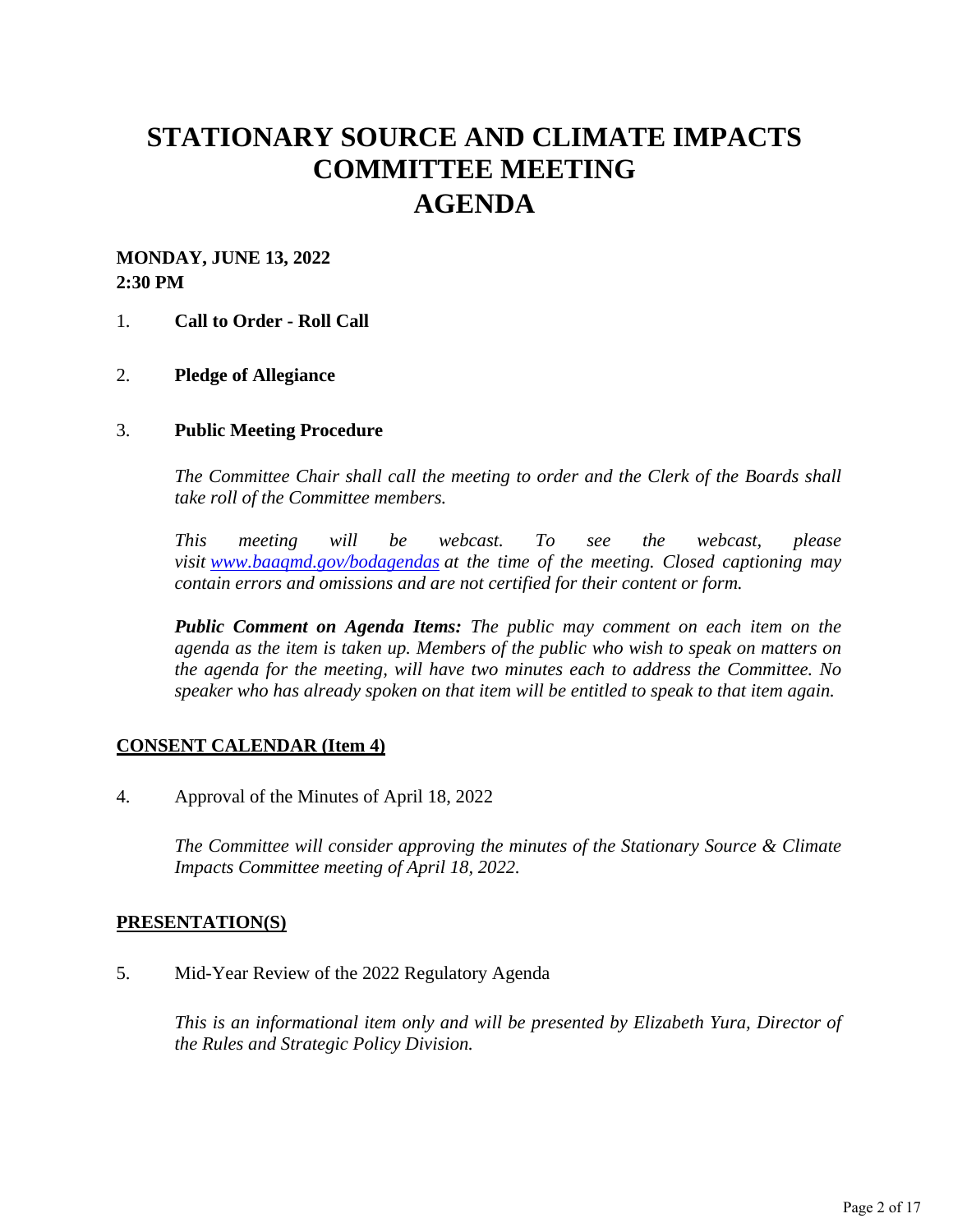# **STATIONARY SOURCE AND CLIMATE IMPACTS COMMITTEE MEETING AGENDA**

# **MONDAY, JUNE 13, 2022 2:30 PM**

### 1. **Call to Order - Roll Call**

### 2. **Pledge of Allegiance**

#### 3. **Public Meeting Procedure**

*The Committee Chair shall call the meeting to order and the Clerk of the Boards shall take roll of the Committee members.* 

*This meeting will be webcast. To see the webcast, please visit [www.baaqmd.gov/bodagendas](https://www.baaqmd.gov/bodagendas) at the time of the meeting. Closed captioning may contain errors and omissions and are not certified for their content or form.* 

*Public Comment on Agenda Items: The public may comment on each item on the agenda as the item is taken up. Members of the public who wish to speak on matters on the agenda for the meeting, will have two minutes each to address the Committee. No speaker who has already spoken on that item will be entitled to speak to that item again.*

### **CONSENT CALENDAR (Item 4)**

4. Approval of the Minutes of April 18, 2022

*The Committee will consider approving the minutes of the Stationary Source & Climate Impacts Committee meeting of April 18, 2022.* 

#### **PRESENTATION(S)**

5. Mid-Year Review of the 2022 Regulatory Agenda

*This is an informational item only and will be presented by Elizabeth Yura, Director of the Rules and Strategic Policy Division.*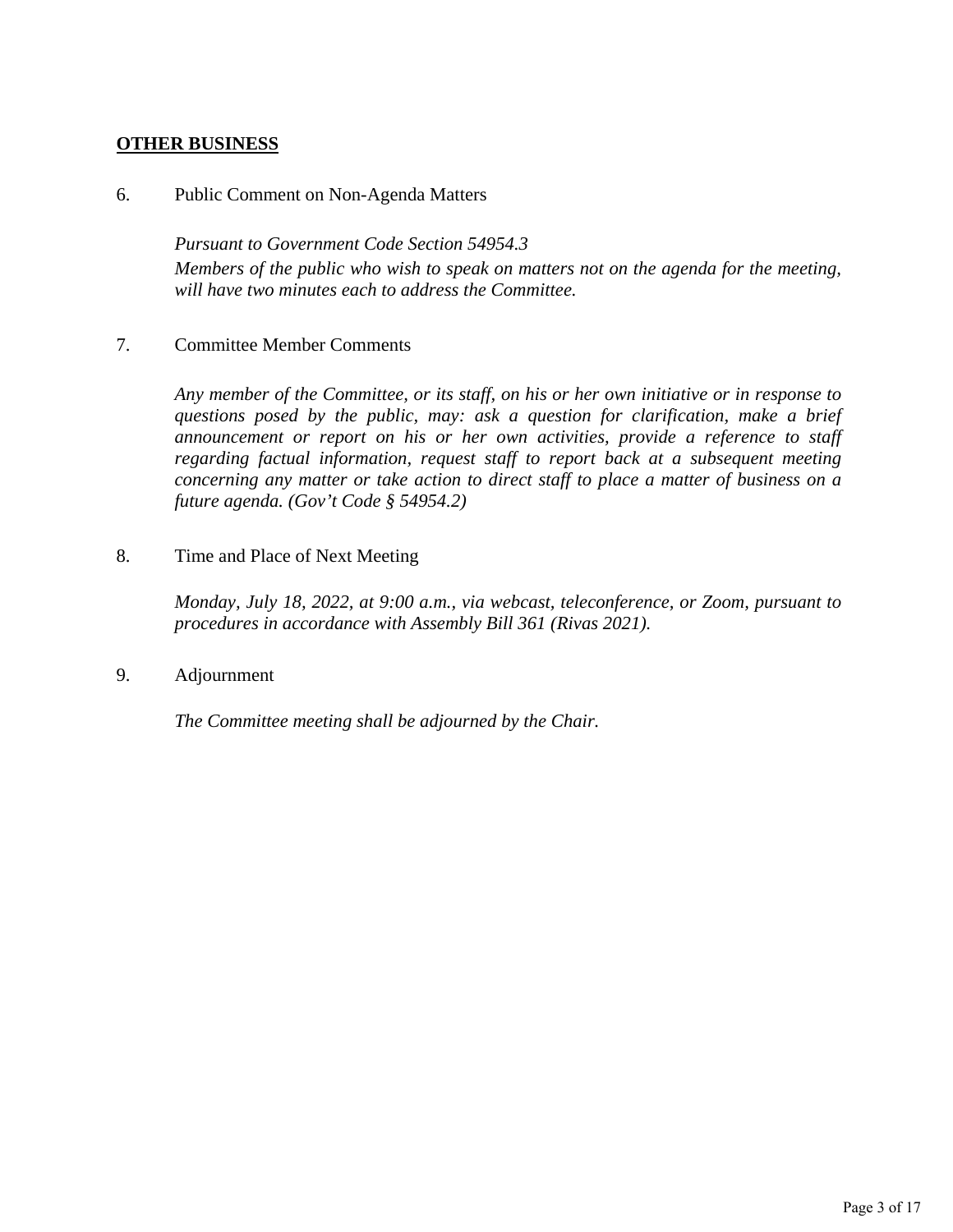# **OTHER BUSINESS**

#### 6. Public Comment on Non-Agenda Matters

*Pursuant to Government Code Section 54954.3 Members of the public who wish to speak on matters not on the agenda for the meeting, will have two minutes each to address the Committee.*

# 7. Committee Member Comments

*Any member of the Committee, or its staff, on his or her own initiative or in response to questions posed by the public, may: ask a question for clarification, make a brief announcement or report on his or her own activities, provide a reference to staff regarding factual information, request staff to report back at a subsequent meeting concerning any matter or take action to direct staff to place a matter of business on a future agenda. (Gov't Code § 54954.2)*

8. Time and Place of Next Meeting

*Monday, July 18, 2022, at 9:00 a.m., via webcast, teleconference, or Zoom, pursuant to procedures in accordance with Assembly Bill 361 (Rivas 2021).* 

9. Adjournment

*The Committee meeting shall be adjourned by the Chair.*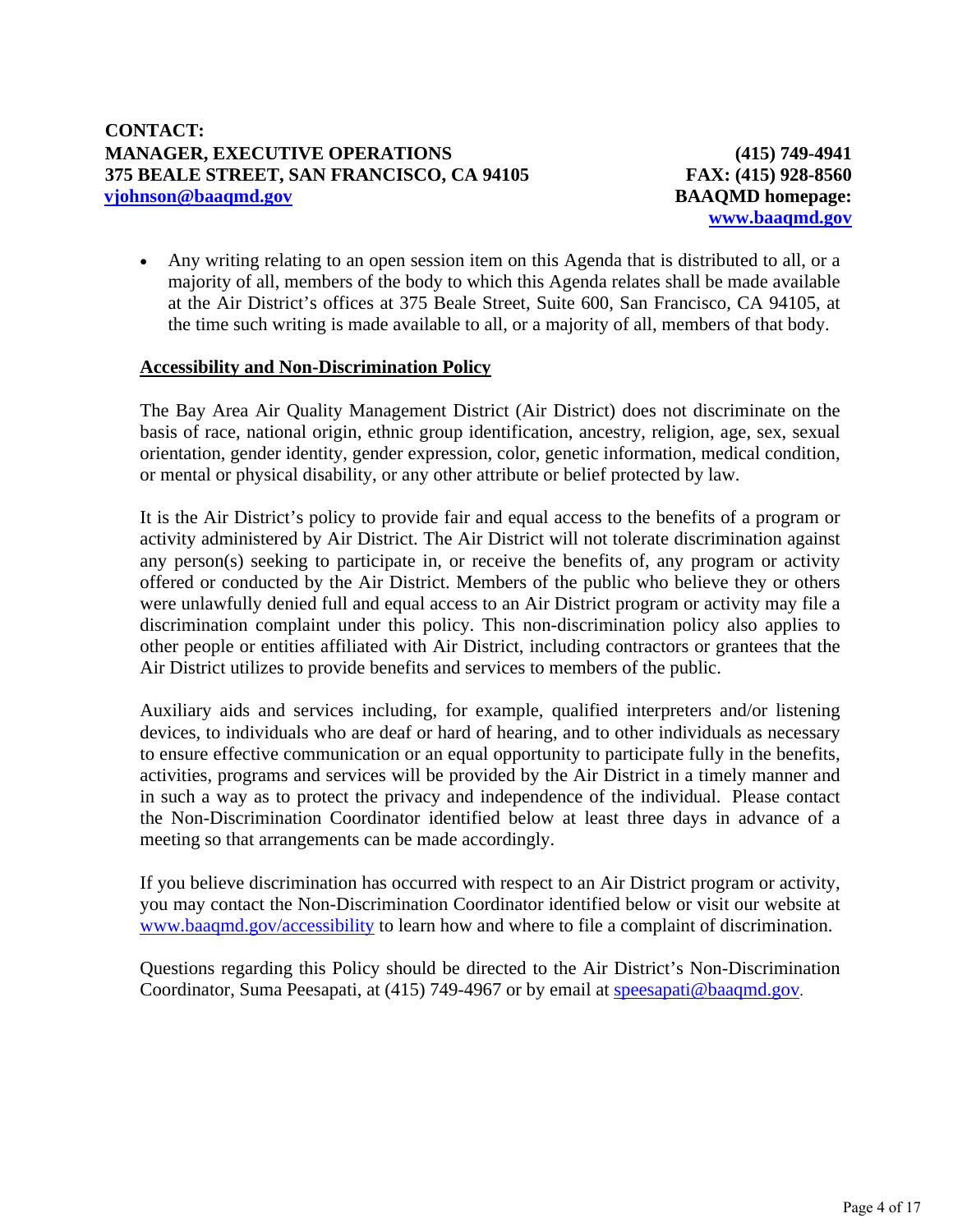**(415) 749-4941 FAX: (415) 928-8560 BAAQMD homepage: [www.baaqmd.gov](http://www.baaqmd.gov/)**

 Any writing relating to an open session item on this Agenda that is distributed to all, or a majority of all, members of the body to which this Agenda relates shall be made available at the Air District's offices at 375 Beale Street, Suite 600, San Francisco, CA 94105, at the time such writing is made available to all, or a majority of all, members of that body.

### **Accessibility and Non-Discrimination Policy**

The Bay Area Air Quality Management District (Air District) does not discriminate on the basis of race, national origin, ethnic group identification, ancestry, religion, age, sex, sexual orientation, gender identity, gender expression, color, genetic information, medical condition, or mental or physical disability, or any other attribute or belief protected by law.

It is the Air District's policy to provide fair and equal access to the benefits of a program or activity administered by Air District. The Air District will not tolerate discrimination against any person(s) seeking to participate in, or receive the benefits of, any program or activity offered or conducted by the Air District. Members of the public who believe they or others were unlawfully denied full and equal access to an Air District program or activity may file a discrimination complaint under this policy. This non-discrimination policy also applies to other people or entities affiliated with Air District, including contractors or grantees that the Air District utilizes to provide benefits and services to members of the public.

Auxiliary aids and services including, for example, qualified interpreters and/or listening devices, to individuals who are deaf or hard of hearing, and to other individuals as necessary to ensure effective communication or an equal opportunity to participate fully in the benefits, activities, programs and services will be provided by the Air District in a timely manner and in such a way as to protect the privacy and independence of the individual. Please contact the Non-Discrimination Coordinator identified below at least three days in advance of a meeting so that arrangements can be made accordingly.

If you believe discrimination has occurred with respect to an Air District program or activity, you may contact the Non-Discrimination Coordinator identified below or visit our website at [www.baaqmd.gov/accessibility](http://www.baaqmd.gov/accessibility) to learn how and where to file a complaint of discrimination.

Questions regarding this Policy should be directed to the Air District's Non-Discrimination Coordinator, Suma Peesapati, at (415) 749-4967 or by email at [speesapati@baaqmd.gov](mailto:speesapati@baaqmd.gov).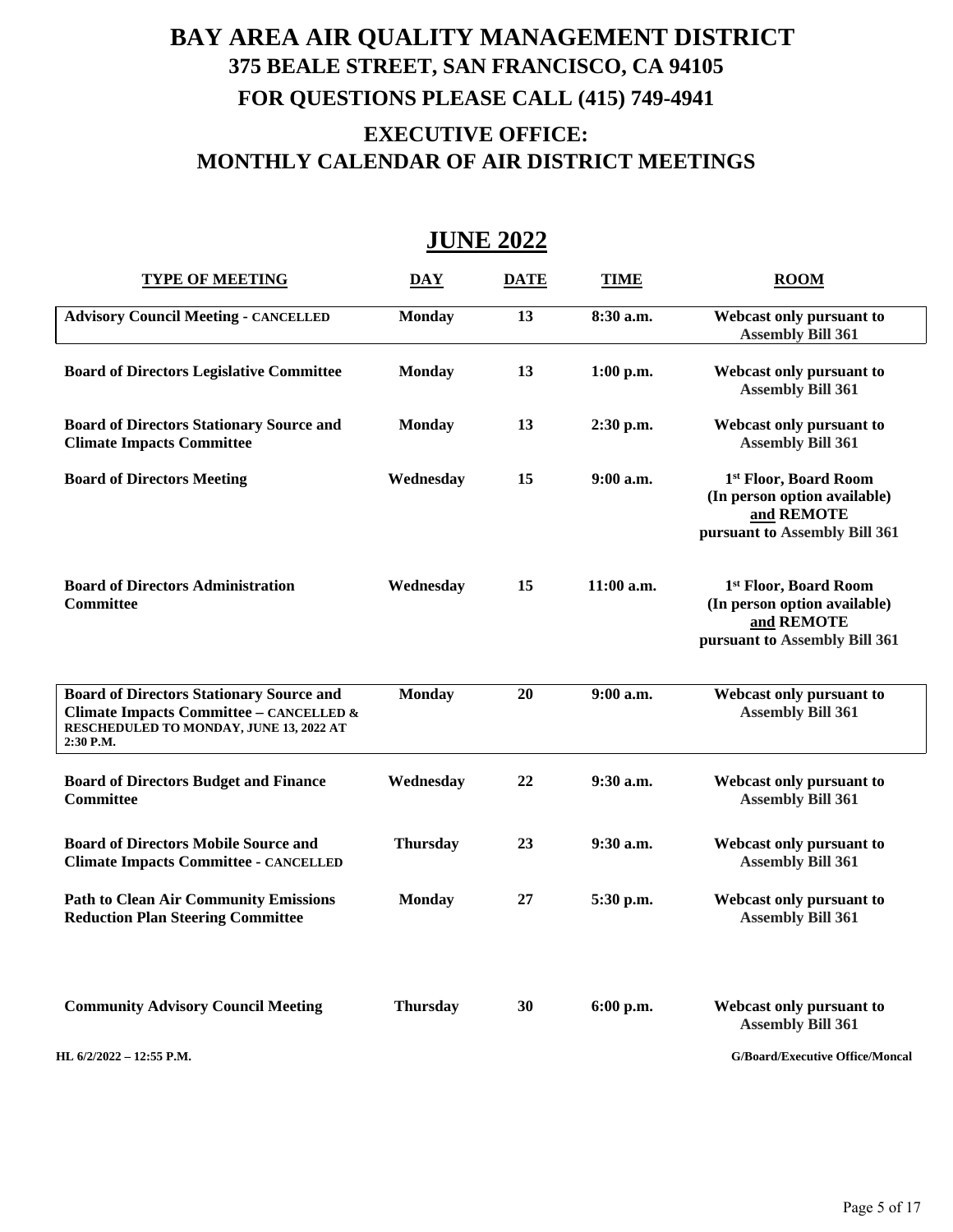# **BAY AREA AIR QUALITY MANAGEMENT DISTRICT 375 BEALE STREET, SAN FRANCISCO, CA 94105 FOR QUESTIONS PLEASE CALL (415) 749-4941 EXECUTIVE OFFICE: MONTHLY CALENDAR OF AIR DISTRICT MEETINGS**

# **JUNE 2022**

| <b>TYPE OF MEETING</b>                                                                                                                             | <b>DAY</b>      | <b>DATE</b> | <b>TIME</b>  | <b>ROOM</b>                                                                                          |
|----------------------------------------------------------------------------------------------------------------------------------------------------|-----------------|-------------|--------------|------------------------------------------------------------------------------------------------------|
| <b>Advisory Council Meeting - CANCELLED</b>                                                                                                        | <b>Monday</b>   | 13          | 8:30 a.m.    | Webcast only pursuant to<br><b>Assembly Bill 361</b>                                                 |
| <b>Board of Directors Legislative Committee</b>                                                                                                    | <b>Monday</b>   | 13          | $1:00$ p.m.  | Webcast only pursuant to<br><b>Assembly Bill 361</b>                                                 |
| <b>Board of Directors Stationary Source and</b><br><b>Climate Impacts Committee</b>                                                                | <b>Monday</b>   | 13          | $2:30$ p.m.  | Webcast only pursuant to<br><b>Assembly Bill 361</b>                                                 |
| <b>Board of Directors Meeting</b>                                                                                                                  | Wednesday       | 15          | $9:00$ a.m.  | 1st Floor, Board Room<br>(In person option available)<br>and REMOTE<br>pursuant to Assembly Bill 361 |
| <b>Board of Directors Administration</b><br><b>Committee</b>                                                                                       | Wednesday       | 15          | $11:00$ a.m. | 1st Floor, Board Room<br>(In person option available)<br>and REMOTE<br>pursuant to Assembly Bill 361 |
| <b>Board of Directors Stationary Source and</b><br>Climate Impacts Committee - CANCELLED &<br>RESCHEDULED TO MONDAY, JUNE 13, 2022 AT<br>2:30 P.M. | <b>Monday</b>   | 20          | 9:00 a.m.    | Webcast only pursuant to<br><b>Assembly Bill 361</b>                                                 |
| <b>Board of Directors Budget and Finance</b><br><b>Committee</b>                                                                                   | Wednesday       | 22          | 9:30 a.m.    | Webcast only pursuant to<br><b>Assembly Bill 361</b>                                                 |
| <b>Board of Directors Mobile Source and</b><br><b>Climate Impacts Committee - CANCELLED</b>                                                        | <b>Thursday</b> | 23          | $9:30$ a.m.  | Webcast only pursuant to<br><b>Assembly Bill 361</b>                                                 |
| <b>Path to Clean Air Community Emissions</b><br><b>Reduction Plan Steering Committee</b>                                                           | <b>Monday</b>   | 27          | 5:30 p.m.    | Webcast only pursuant to<br><b>Assembly Bill 361</b>                                                 |
| <b>Community Advisory Council Meeting</b>                                                                                                          | <b>Thursday</b> | 30          | 6:00 p.m.    | Webcast only pursuant to<br><b>Assembly Bill 361</b>                                                 |
| <b>HI</b> . $6/2/2022 = 12:55$ <b>P</b> .M.                                                                                                        |                 |             |              | <b>G/Board/Executive Office/Moncal</b>                                                               |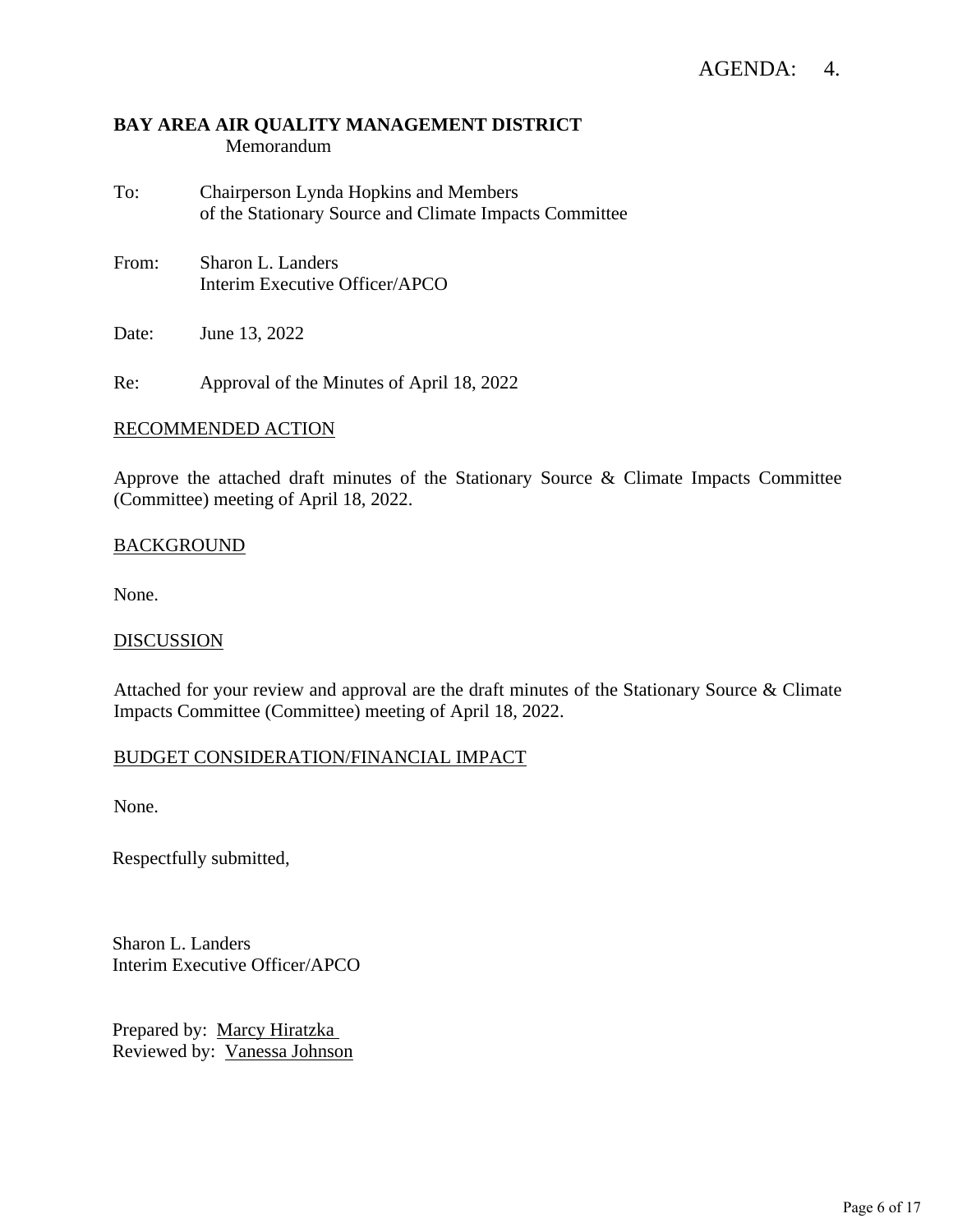# **BAY AREA AIR QUALITY MANAGEMENT DISTRICT** Memorandum

- To: Chairperson Lynda Hopkins and Members of the Stationary Source and Climate Impacts Committee
- From: Sharon L. Landers Interim Executive Officer/APCO

Date: June 13, 2022

Re: Approval of the Minutes of April 18, 2022

#### RECOMMENDED ACTION

Approve the attached draft minutes of the Stationary Source & Climate Impacts Committee (Committee) meeting of April 18, 2022.

### **BACKGROUND**

None.

#### **DISCUSSION**

Attached for your review and approval are the draft minutes of the Stationary Source & Climate Impacts Committee (Committee) meeting of April 18, 2022.

# BUDGET CONSIDERATION/FINANCIAL IMPACT

None.

Respectfully submitted,

Sharon L. Landers Interim Executive Officer/APCO

Prepared by: Marcy Hiratzka Reviewed by: Vanessa Johnson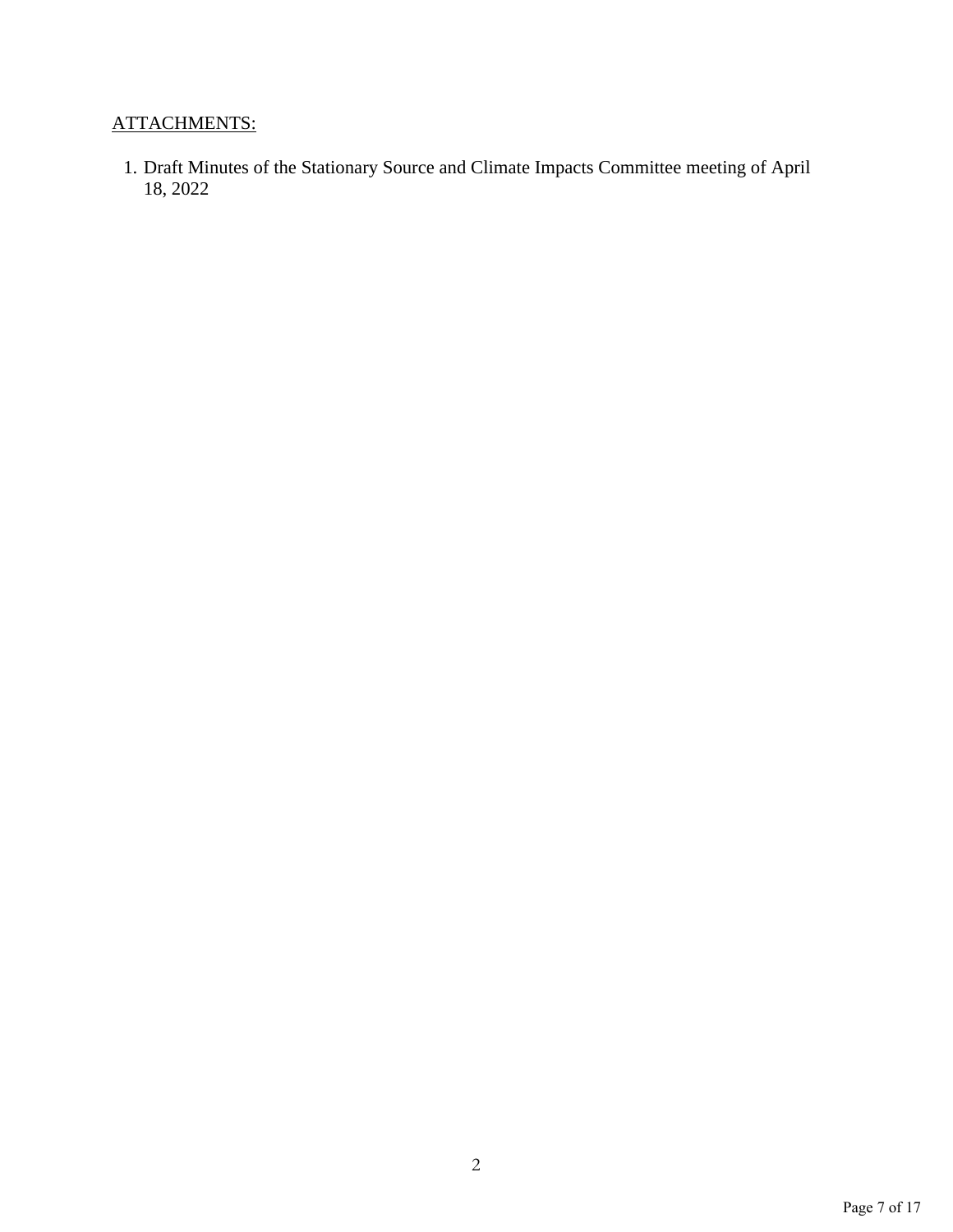# ATTACHMENTS:

1. Draft Minutes of the Stationary Source and Climate Impacts Committee meeting of April 18, 2022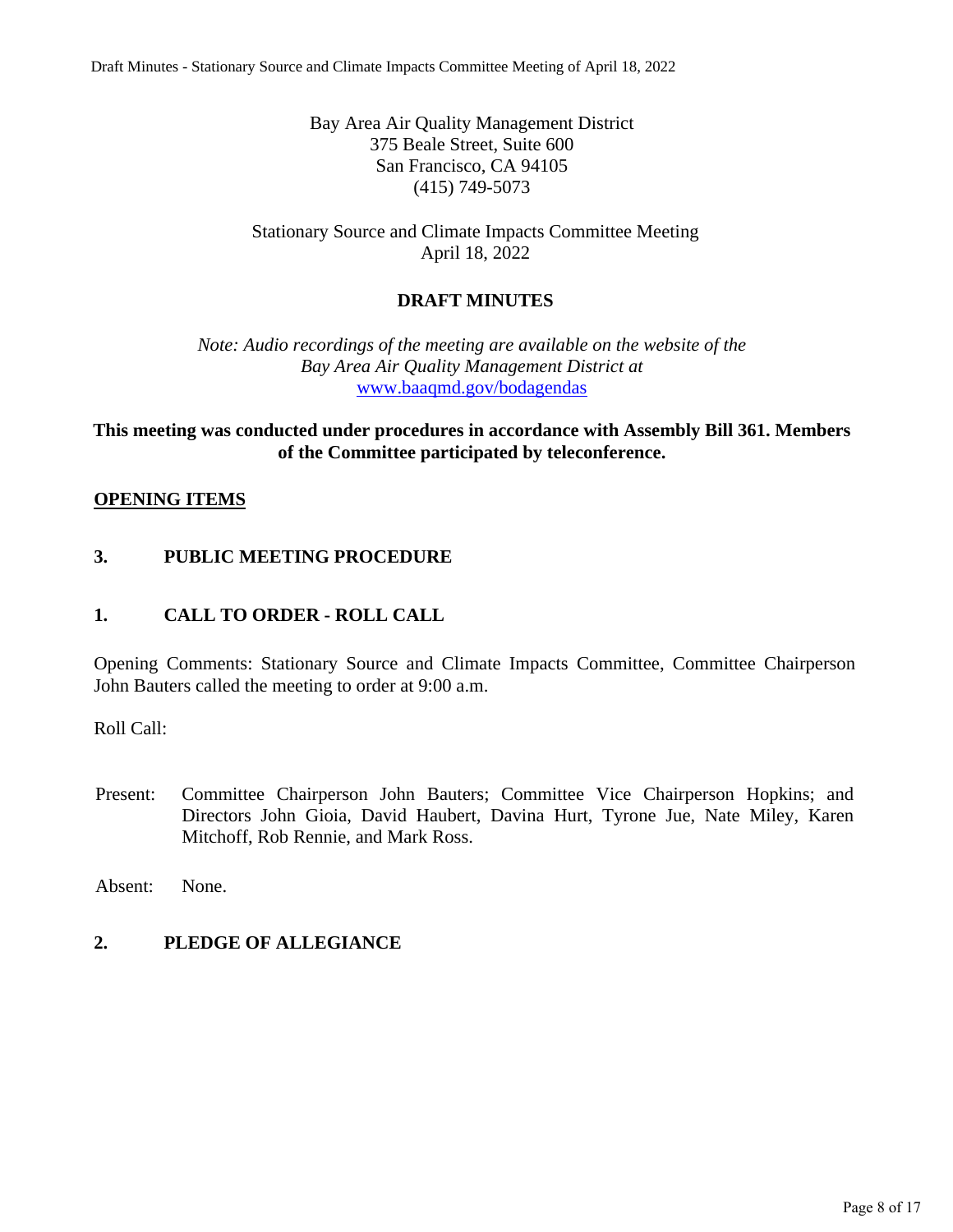Bay Area Air Quality Management District 375 Beale Street, Suite 600 San Francisco, CA 94105 (415) 749-5073

Stationary Source and Climate Impacts Committee Meeting April 18, 2022

# **DRAFT MINUTES**

*Note: Audio recordings of the meeting are available on the website of the Bay Area Air Quality Management District at* [www.baaqmd.gov/bodagendas](http://www.baaqmd.gov/bodagendas)

# **This meeting was conducted under procedures in accordance with Assembly Bill 361. Members of the Committee participated by teleconference.**

### **OPENING ITEMS**

# **3. PUBLIC MEETING PROCEDURE**

# **1. CALL TO ORDER - ROLL CALL**

Opening Comments: Stationary Source and Climate Impacts Committee, Committee Chairperson John Bauters called the meeting to order at 9:00 a.m.

Roll Call:

Present: Committee Chairperson John Bauters; Committee Vice Chairperson Hopkins; and Directors John Gioia, David Haubert, Davina Hurt, Tyrone Jue, Nate Miley, Karen Mitchoff, Rob Rennie, and Mark Ross.

Absent: None.

### **2. PLEDGE OF ALLEGIANCE**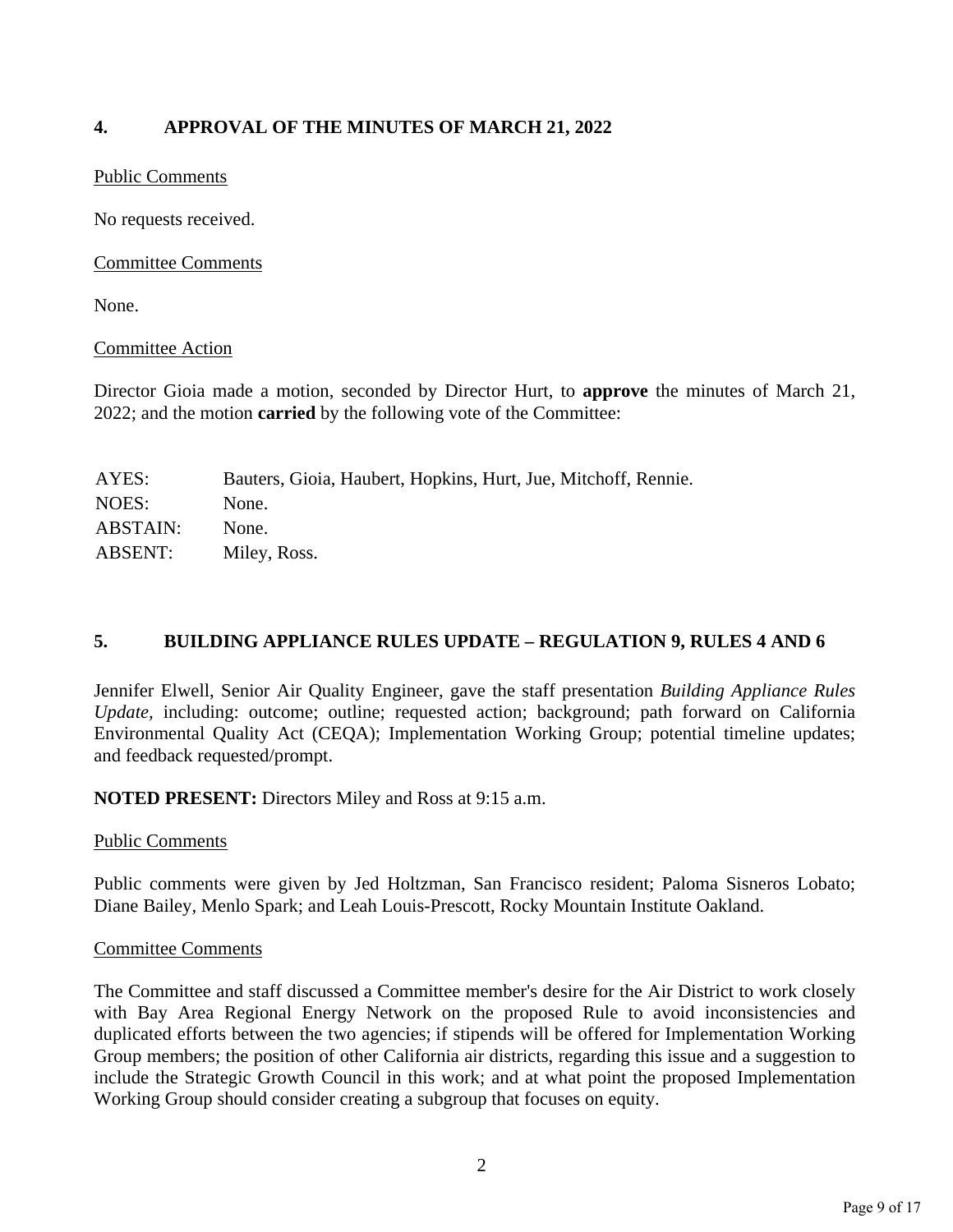# **4. APPROVAL OF THE MINUTES OF MARCH 21, 2022**

# Public Comments

No requests received.

# Committee Comments

None.

# Committee Action

Director Gioia made a motion, seconded by Director Hurt, to **approve** the minutes of March 21, 2022; and the motion **carried** by the following vote of the Committee:

| AYES:           | Bauters, Gioia, Haubert, Hopkins, Hurt, Jue, Mitchoff, Rennie. |
|-----------------|----------------------------------------------------------------|
| NOES:           | None.                                                          |
| <b>ABSTAIN:</b> | None.                                                          |
| <b>ABSENT:</b>  | Miley, Ross.                                                   |

# **5. BUILDING APPLIANCE RULES UPDATE – REGULATION 9, RULES 4 AND 6**

Jennifer Elwell, Senior Air Quality Engineer, gave the staff presentation *Building Appliance Rules Update,* including: outcome; outline; requested action; background; path forward on California Environmental Quality Act (CEQA); Implementation Working Group; potential timeline updates; and feedback requested/prompt.

**NOTED PRESENT:** Directors Miley and Ross at 9:15 a.m.

### Public Comments

Public comments were given by Jed Holtzman, San Francisco resident; Paloma Sisneros Lobato; Diane Bailey, Menlo Spark; and Leah Louis-Prescott, Rocky Mountain Institute Oakland.

# Committee Comments

The Committee and staff discussed a Committee member's desire for the Air District to work closely with Bay Area Regional Energy Network on the proposed Rule to avoid inconsistencies and duplicated efforts between the two agencies; if stipends will be offered for Implementation Working Group members; the position of other California air districts, regarding this issue and a suggestion to include the Strategic Growth Council in this work; and at what point the proposed Implementation Working Group should consider creating a subgroup that focuses on equity.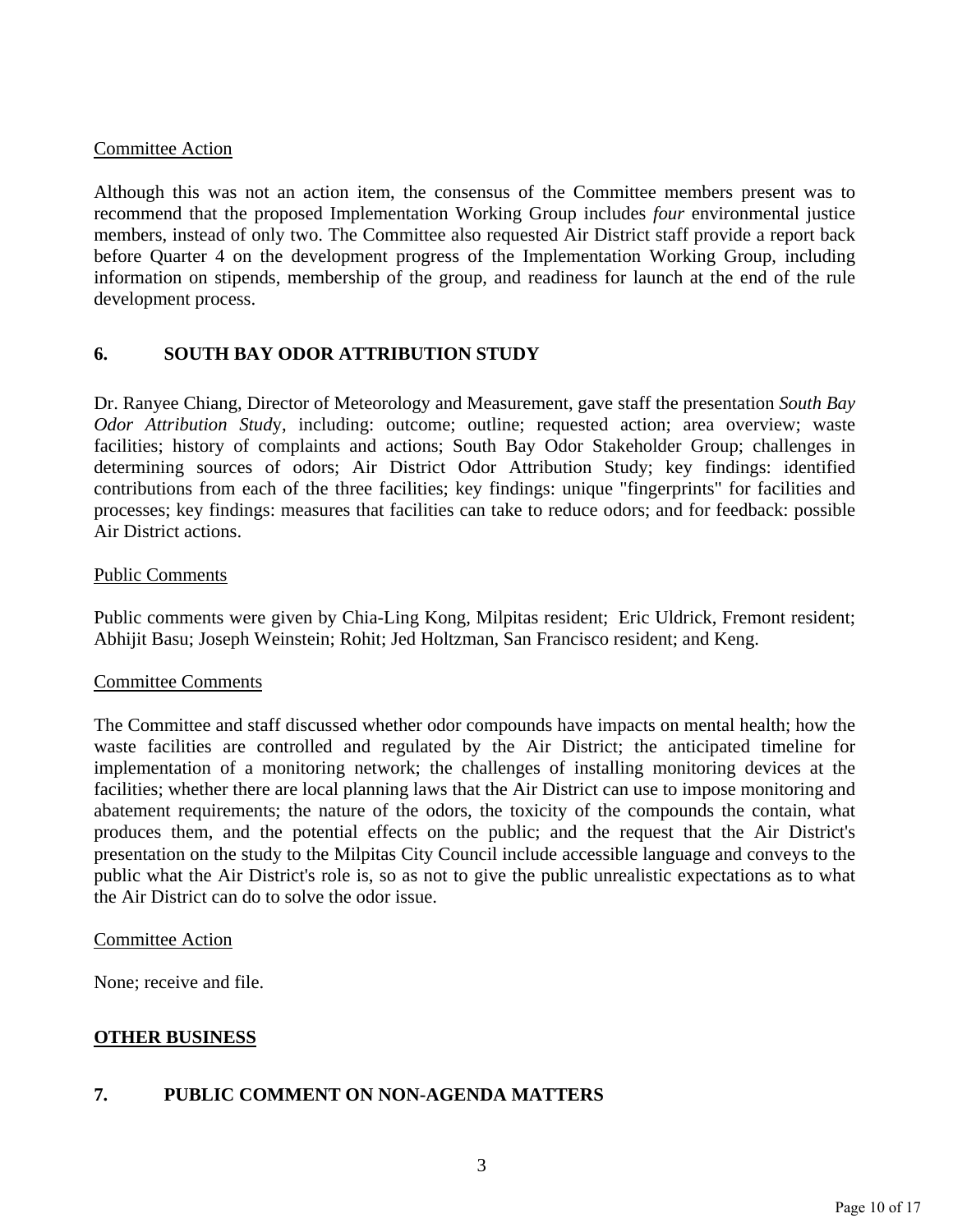# Committee Action

Although this was not an action item, the consensus of the Committee members present was to recommend that the proposed Implementation Working Group includes *four* environmental justice members, instead of only two. The Committee also requested Air District staff provide a report back before Quarter 4 on the development progress of the Implementation Working Group, including information on stipends, membership of the group, and readiness for launch at the end of the rule development process.

# **6. SOUTH BAY ODOR ATTRIBUTION STUDY**

Dr. Ranyee Chiang, Director of Meteorology and Measurement, gave staff the presentation *South Bay Odor Attribution Stud*y, including: outcome; outline; requested action; area overview; waste facilities; history of complaints and actions; South Bay Odor Stakeholder Group; challenges in determining sources of odors; Air District Odor Attribution Study; key findings: identified contributions from each of the three facilities; key findings: unique "fingerprints" for facilities and processes; key findings: measures that facilities can take to reduce odors; and for feedback: possible Air District actions.

### Public Comments

Public comments were given by Chia-Ling Kong, Milpitas resident; Eric Uldrick, Fremont resident; Abhijit Basu; Joseph Weinstein; Rohit; Jed Holtzman, San Francisco resident; and Keng.

### Committee Comments

The Committee and staff discussed whether odor compounds have impacts on mental health; how the waste facilities are controlled and regulated by the Air District; the anticipated timeline for implementation of a monitoring network; the challenges of installing monitoring devices at the facilities; whether there are local planning laws that the Air District can use to impose monitoring and abatement requirements; the nature of the odors, the toxicity of the compounds the contain, what produces them, and the potential effects on the public; and the request that the Air District's presentation on the study to the Milpitas City Council include accessible language and conveys to the public what the Air District's role is, so as not to give the public unrealistic expectations as to what the Air District can do to solve the odor issue.

### Committee Action

None; receive and file.

### **OTHER BUSINESS**

# **7. PUBLIC COMMENT ON NON-AGENDA MATTERS**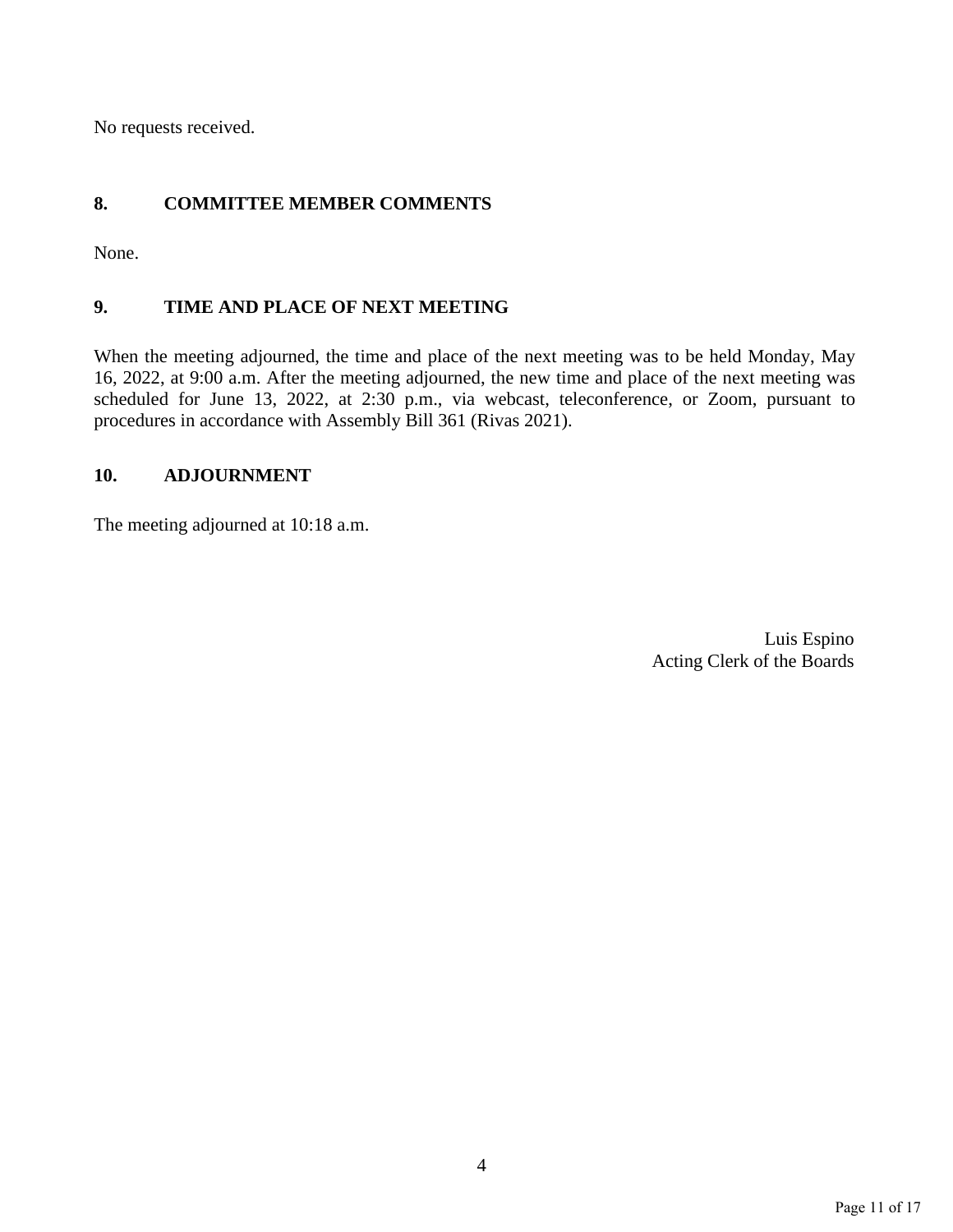No requests received.

# **8. COMMITTEE MEMBER COMMENTS**

None.

# **9. TIME AND PLACE OF NEXT MEETING**

When the meeting adjourned, the time and place of the next meeting was to be held Monday, May 16, 2022, at 9:00 a.m. After the meeting adjourned, the new time and place of the next meeting was scheduled for June 13, 2022, at 2:30 p.m., via webcast, teleconference, or Zoom, pursuant to procedures in accordance with Assembly Bill 361 (Rivas 2021).

# **10. ADJOURNMENT**

The meeting adjourned at 10:18 a.m.

Luis Espino Acting Clerk of the Boards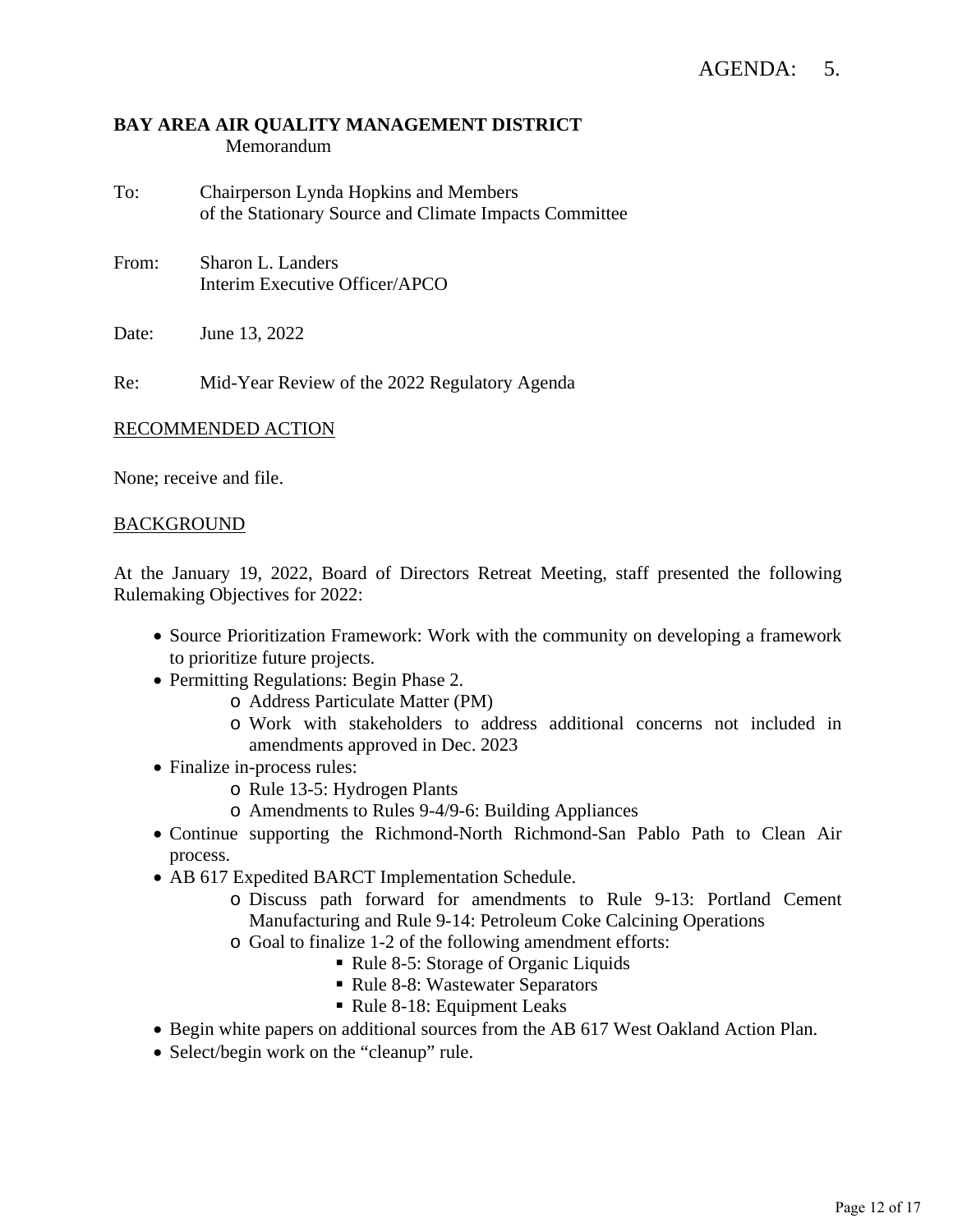# **BAY AREA AIR QUALITY MANAGEMENT DISTRICT** Memorandum

- To: Chairperson Lynda Hopkins and Members of the Stationary Source and Climate Impacts Committee
- From: Sharon L. Landers Interim Executive Officer/APCO

Date: June 13, 2022

Re: Mid-Year Review of the 2022 Regulatory Agenda

### RECOMMENDED ACTION

None; receive and file.

### BACKGROUND

At the January 19, 2022, Board of Directors Retreat Meeting, staff presented the following Rulemaking Objectives for 2022:

- Source Prioritization Framework: Work with the community on developing a framework to prioritize future projects.
- Permitting Regulations: Begin Phase 2.
	- o Address Particulate Matter (PM)
	- o Work with stakeholders to address additional concerns not included in amendments approved in Dec. 2023
- Finalize in-process rules:
	- o Rule 13-5: Hydrogen Plants
	- o Amendments to Rules 9-4/9-6: Building Appliances
- Continue supporting the Richmond-North Richmond-San Pablo Path to Clean Air process.
- AB 617 Expedited BARCT Implementation Schedule.
	- o Discuss path forward for amendments to Rule 9-13: Portland Cement Manufacturing and Rule 9-14: Petroleum Coke Calcining Operations
	- o Goal to finalize 1-2 of the following amendment efforts:
		- Rule 8-5: Storage of Organic Liquids
		- Rule 8-8: Wastewater Separators
		- Rule 8-18: Equipment Leaks
- Begin white papers on additional sources from the AB 617 West Oakland Action Plan.
- Select/begin work on the "cleanup" rule.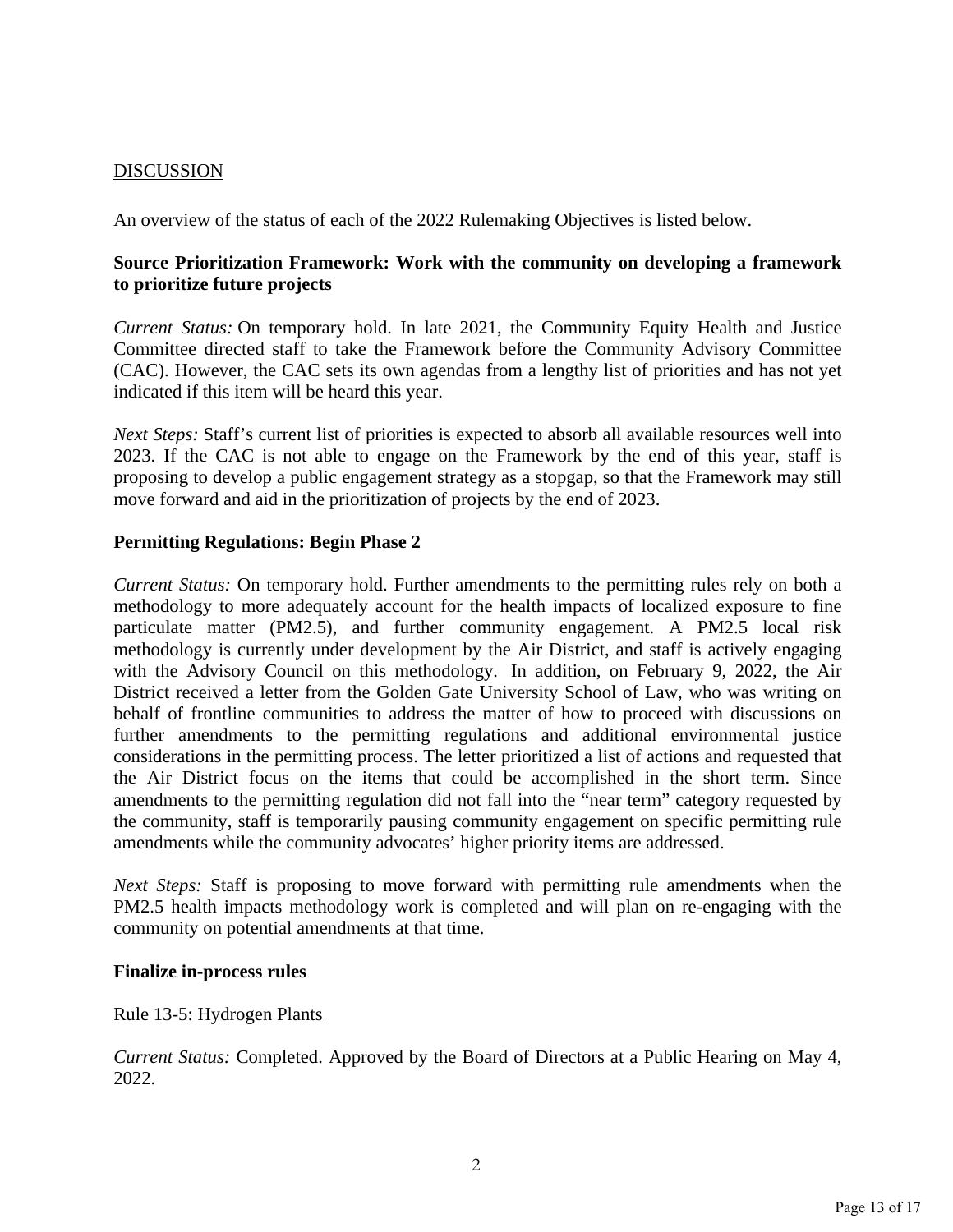# DISCUSSION

An overview of the status of each of the 2022 Rulemaking Objectives is listed below.

# **Source Prioritization Framework: Work with the community on developing a framework to prioritize future projects**

*Current Status:* On temporary hold. In late 2021, the Community Equity Health and Justice Committee directed staff to take the Framework before the Community Advisory Committee (CAC). However, the CAC sets its own agendas from a lengthy list of priorities and has not yet indicated if this item will be heard this year.

*Next Steps:* Staff's current list of priorities is expected to absorb all available resources well into 2023. If the CAC is not able to engage on the Framework by the end of this year, staff is proposing to develop a public engagement strategy as a stopgap, so that the Framework may still move forward and aid in the prioritization of projects by the end of 2023.

# **Permitting Regulations: Begin Phase 2**

*Current Status:* On temporary hold. Further amendments to the permitting rules rely on both a methodology to more adequately account for the health impacts of localized exposure to fine particulate matter (PM2.5), and further community engagement. A PM2.5 local risk methodology is currently under development by the Air District, and staff is actively engaging with the Advisory Council on this methodology. In addition, on February 9, 2022, the Air District received a letter from the Golden Gate University School of Law, who was writing on behalf of frontline communities to address the matter of how to proceed with discussions on further amendments to the permitting regulations and additional environmental justice considerations in the permitting process. The letter prioritized a list of actions and requested that the Air District focus on the items that could be accomplished in the short term. Since amendments to the permitting regulation did not fall into the "near term" category requested by the community, staff is temporarily pausing community engagement on specific permitting rule amendments while the community advocates' higher priority items are addressed.

*Next Steps:* Staff is proposing to move forward with permitting rule amendments when the PM2.5 health impacts methodology work is completed and will plan on re-engaging with the community on potential amendments at that time.

### **Finalize in-process rules**

### Rule 13-5: Hydrogen Plants

*Current Status:* Completed. Approved by the Board of Directors at a Public Hearing on May 4, 2022.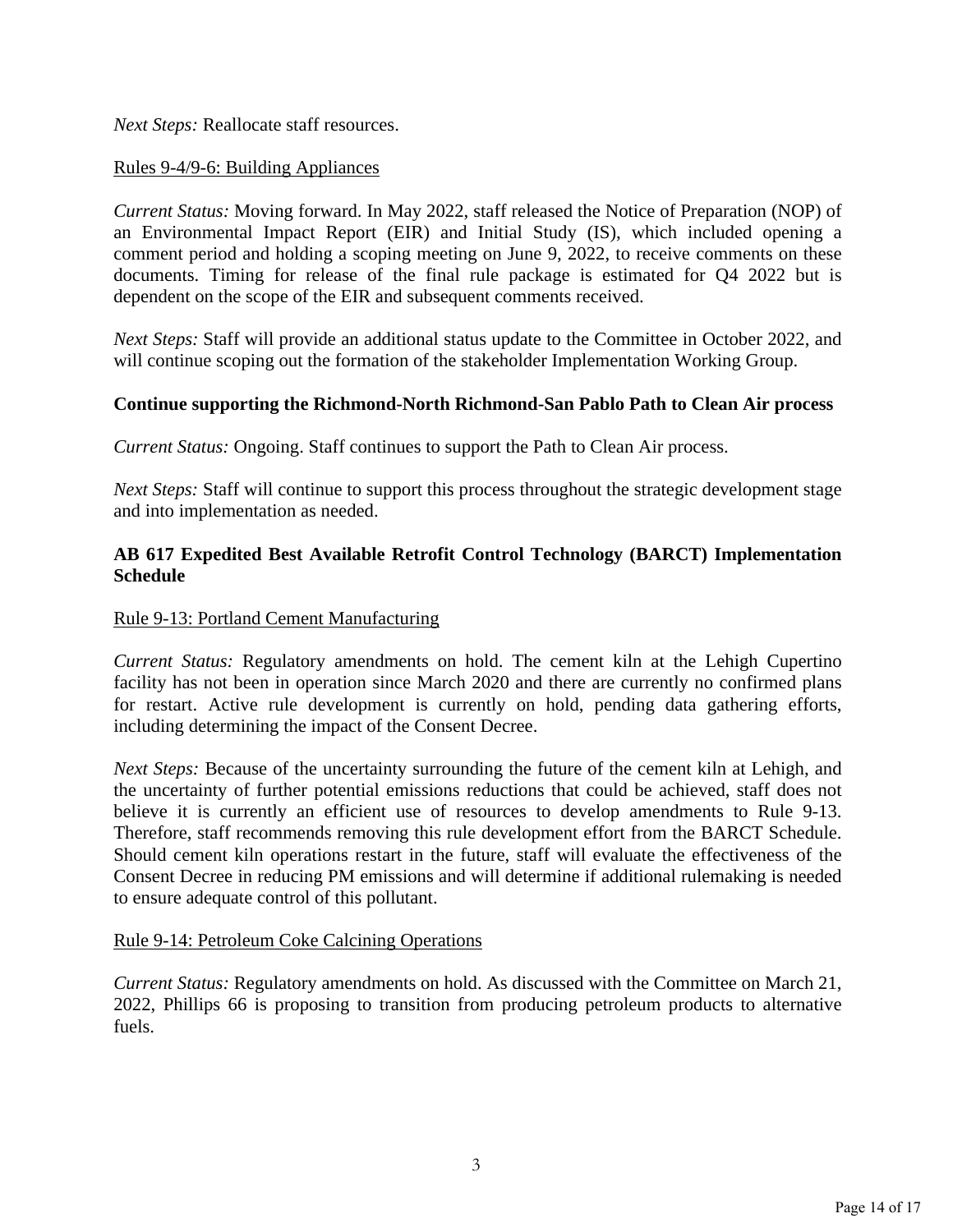*Next Steps:* Reallocate staff resources.

# Rules 9-4/9-6: Building Appliances

*Current Status:* Moving forward. In May 2022, staff released the Notice of Preparation (NOP) of an Environmental Impact Report (EIR) and Initial Study (IS), which included opening a comment period and holding a scoping meeting on June 9, 2022, to receive comments on these documents. Timing for release of the final rule package is estimated for Q4 2022 but is dependent on the scope of the EIR and subsequent comments received.

*Next Steps:* Staff will provide an additional status update to the Committee in October 2022, and will continue scoping out the formation of the stakeholder Implementation Working Group.

# **Continue supporting the Richmond-North Richmond-San Pablo Path to Clean Air process**

*Current Status:* Ongoing. Staff continues to support the Path to Clean Air process.

*Next Steps:* Staff will continue to support this process throughout the strategic development stage and into implementation as needed.

# **AB 617 Expedited Best Available Retrofit Control Technology (BARCT) Implementation Schedule**

### Rule 9-13: Portland Cement Manufacturing

*Current Status:* Regulatory amendments on hold. The cement kiln at the Lehigh Cupertino facility has not been in operation since March 2020 and there are currently no confirmed plans for restart. Active rule development is currently on hold, pending data gathering efforts, including determining the impact of the Consent Decree.

*Next Steps:* Because of the uncertainty surrounding the future of the cement kiln at Lehigh, and the uncertainty of further potential emissions reductions that could be achieved, staff does not believe it is currently an efficient use of resources to develop amendments to Rule 9-13. Therefore, staff recommends removing this rule development effort from the BARCT Schedule. Should cement kiln operations restart in the future, staff will evaluate the effectiveness of the Consent Decree in reducing PM emissions and will determine if additional rulemaking is needed to ensure adequate control of this pollutant.

### Rule 9-14: Petroleum Coke Calcining Operations

*Current Status:* Regulatory amendments on hold. As discussed with the Committee on March 21, 2022, Phillips 66 is proposing to transition from producing petroleum products to alternative fuels.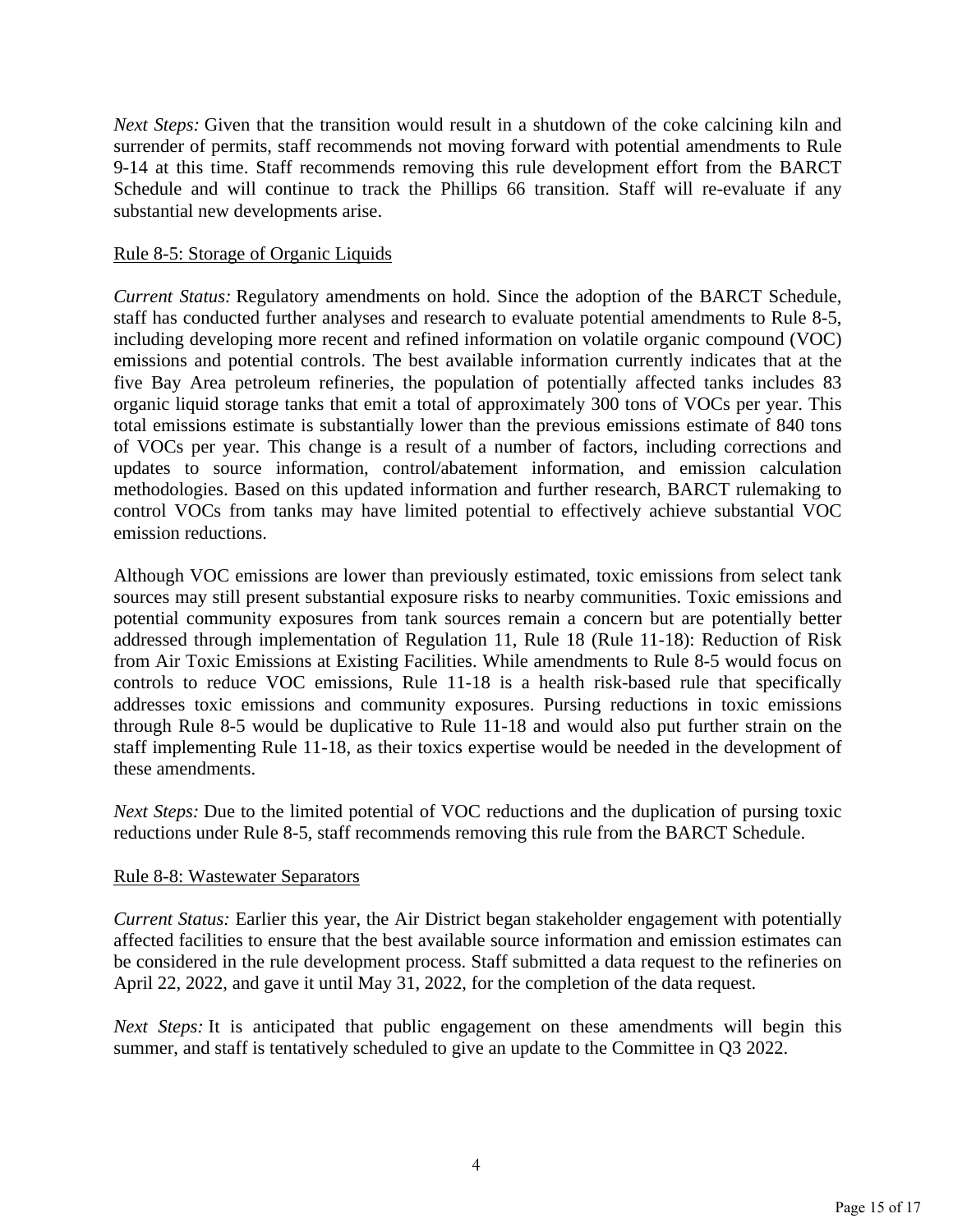*Next Steps:* Given that the transition would result in a shutdown of the coke calcining kiln and surrender of permits, staff recommends not moving forward with potential amendments to Rule 9-14 at this time. Staff recommends removing this rule development effort from the BARCT Schedule and will continue to track the Phillips 66 transition. Staff will re-evaluate if any substantial new developments arise.

#### Rule 8-5: Storage of Organic Liquids

*Current Status:* Regulatory amendments on hold. Since the adoption of the BARCT Schedule, staff has conducted further analyses and research to evaluate potential amendments to Rule 8-5, including developing more recent and refined information on volatile organic compound (VOC) emissions and potential controls. The best available information currently indicates that at the five Bay Area petroleum refineries, the population of potentially affected tanks includes 83 organic liquid storage tanks that emit a total of approximately 300 tons of VOCs per year. This total emissions estimate is substantially lower than the previous emissions estimate of 840 tons of VOCs per year. This change is a result of a number of factors, including corrections and updates to source information, control/abatement information, and emission calculation methodologies. Based on this updated information and further research, BARCT rulemaking to control VOCs from tanks may have limited potential to effectively achieve substantial VOC emission reductions.

Although VOC emissions are lower than previously estimated, toxic emissions from select tank sources may still present substantial exposure risks to nearby communities. Toxic emissions and potential community exposures from tank sources remain a concern but are potentially better addressed through implementation of Regulation 11, Rule 18 (Rule 11-18): Reduction of Risk from Air Toxic Emissions at Existing Facilities. While amendments to Rule 8-5 would focus on controls to reduce VOC emissions, Rule 11-18 is a health risk-based rule that specifically addresses toxic emissions and community exposures. Pursing reductions in toxic emissions through Rule 8-5 would be duplicative to Rule 11-18 and would also put further strain on the staff implementing Rule 11-18, as their toxics expertise would be needed in the development of these amendments.

*Next Steps:* Due to the limited potential of VOC reductions and the duplication of pursing toxic reductions under Rule 8-5, staff recommends removing this rule from the BARCT Schedule.

### Rule 8-8: Wastewater Separators

*Current Status:* Earlier this year, the Air District began stakeholder engagement with potentially affected facilities to ensure that the best available source information and emission estimates can be considered in the rule development process. Staff submitted a data request to the refineries on April 22, 2022, and gave it until May 31, 2022, for the completion of the data request.

*Next Steps:* It is anticipated that public engagement on these amendments will begin this summer, and staff is tentatively scheduled to give an update to the Committee in O3 2022.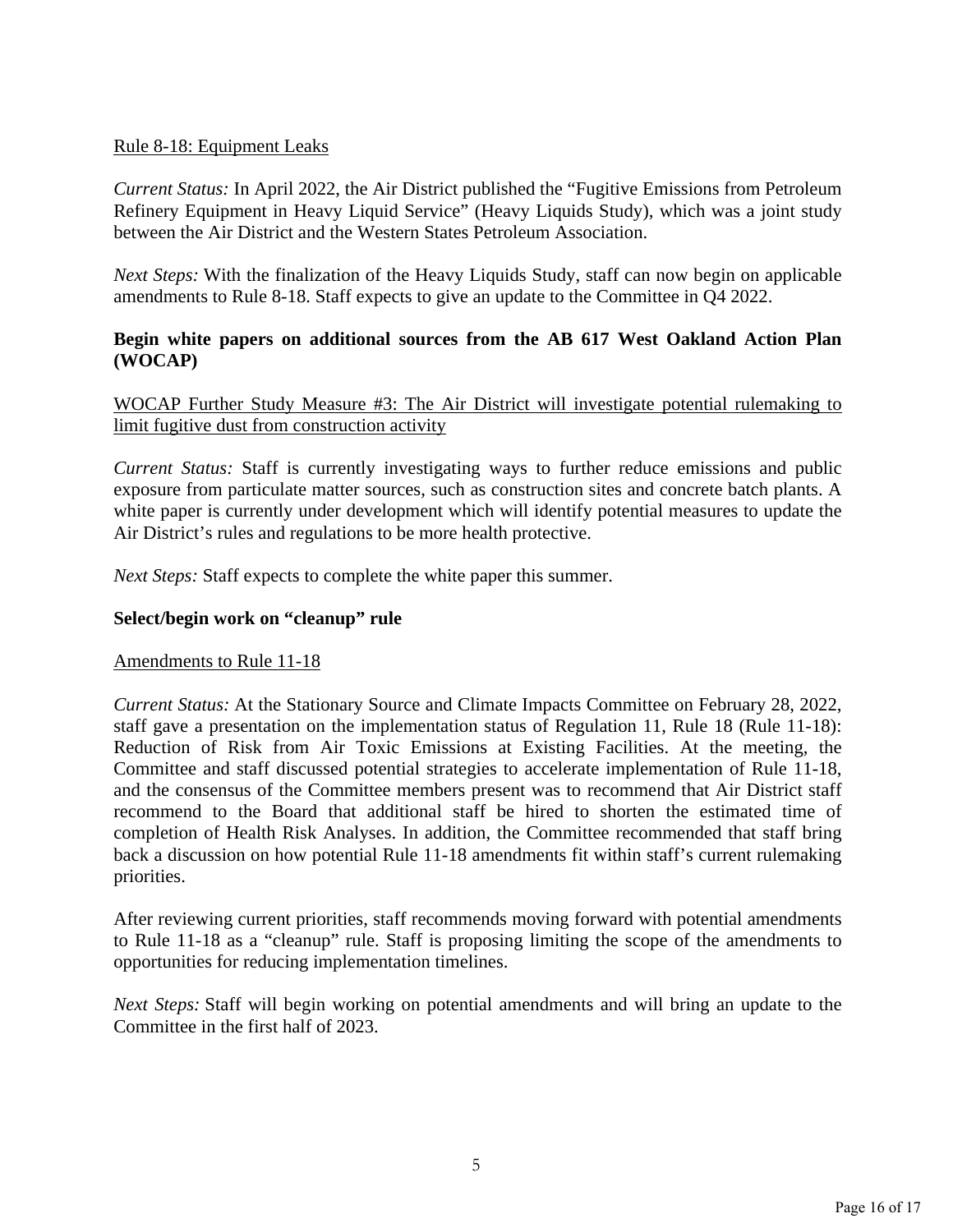# Rule 8-18: Equipment Leaks

*Current Status:* In April 2022, the Air District published the "Fugitive Emissions from Petroleum Refinery Equipment in Heavy Liquid Service" (Heavy Liquids Study), which was a joint study between the Air District and the Western States Petroleum Association.

*Next Steps:* With the finalization of the Heavy Liquids Study, staff can now begin on applicable amendments to Rule 8-18. Staff expects to give an update to the Committee in Q4 2022.

# **Begin white papers on additional sources from the AB 617 West Oakland Action Plan (WOCAP)**

WOCAP Further Study Measure #3: The Air District will investigate potential rulemaking to limit fugitive dust from construction activity

*Current Status:* Staff is currently investigating ways to further reduce emissions and public exposure from particulate matter sources, such as construction sites and concrete batch plants. A white paper is currently under development which will identify potential measures to update the Air District's rules and regulations to be more health protective.

*Next Steps:* Staff expects to complete the white paper this summer.

# **Select/begin work on "cleanup" rule**

### Amendments to Rule 11-18

*Current Status:* At the Stationary Source and Climate Impacts Committee on February 28, 2022, staff gave a presentation on the implementation status of Regulation 11, Rule 18 (Rule 11-18): Reduction of Risk from Air Toxic Emissions at Existing Facilities. At the meeting, the Committee and staff discussed potential strategies to accelerate implementation of Rule 11-18, and the consensus of the Committee members present was to recommend that Air District staff recommend to the Board that additional staff be hired to shorten the estimated time of completion of Health Risk Analyses. In addition, the Committee recommended that staff bring back a discussion on how potential Rule 11-18 amendments fit within staff's current rulemaking priorities.

After reviewing current priorities, staff recommends moving forward with potential amendments to Rule 11-18 as a "cleanup" rule. Staff is proposing limiting the scope of the amendments to opportunities for reducing implementation timelines.

*Next Steps:* Staff will begin working on potential amendments and will bring an update to the Committee in the first half of 2023.